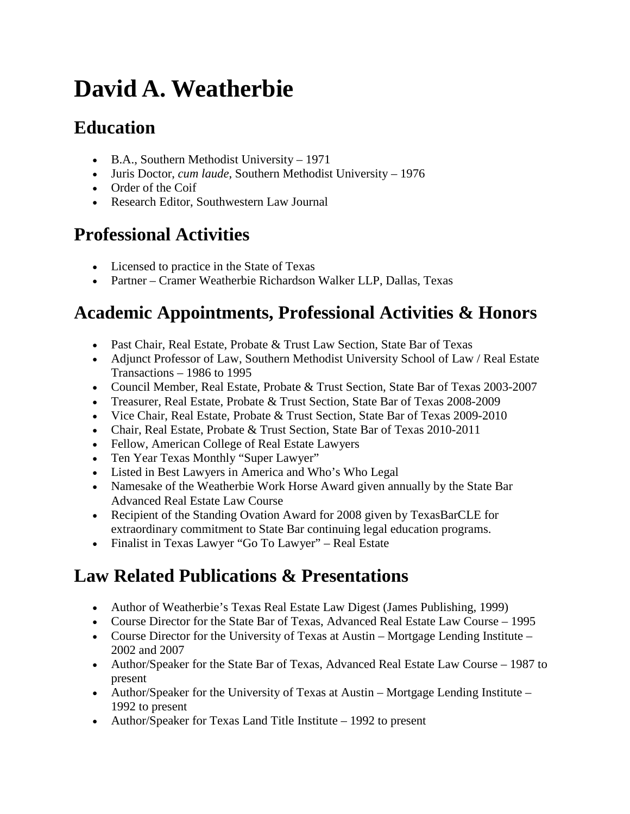# **David A. Weatherbie**

## **Education**

- B.A., Southern Methodist University 1971
- Juris Doctor, *cum laude*, Southern Methodist University 1976
- Order of the Coif
- Research Editor, Southwestern Law Journal

# **Professional Activities**

- Licensed to practice in the State of Texas
- Partner Cramer Weatherbie Richardson Walker LLP, Dallas, Texas

## **Academic Appointments, Professional Activities & Honors**

- Past Chair, Real Estate, Probate & Trust Law Section, State Bar of Texas
- Adjunct Professor of Law, Southern Methodist University School of Law / Real Estate Transactions – 1986 to 1995
- Council Member, Real Estate, Probate & Trust Section, State Bar of Texas 2003-2007
- Treasurer, Real Estate, Probate & Trust Section, State Bar of Texas 2008-2009
- Vice Chair, Real Estate, Probate & Trust Section, State Bar of Texas 2009-2010
- Chair, Real Estate, Probate & Trust Section, State Bar of Texas 2010-2011
- Fellow, American College of Real Estate Lawyers
- Ten Year Texas Monthly "Super Lawyer"
- Listed in Best Lawyers in America and Who's Who Legal
- Namesake of the Weatherbie Work Horse Award given annually by the State Bar Advanced Real Estate Law Course
- Recipient of the Standing Ovation Award for 2008 given by TexasBarCLE for extraordinary commitment to State Bar continuing legal education programs.
- Finalist in Texas Lawyer "Go To Lawyer" Real Estate

#### **Law Related Publications & Presentations**

- Author of Weatherbie's Texas Real Estate Law Digest (James Publishing, 1999)
- Course Director for the State Bar of Texas, Advanced Real Estate Law Course 1995
- Course Director for the University of Texas at Austin Mortgage Lending Institute 2002 and 2007
- Author/Speaker for the State Bar of Texas, Advanced Real Estate Law Course 1987 to present
- Author/Speaker for the University of Texas at Austin Mortgage Lending Institute 1992 to present
- Author/Speaker for Texas Land Title Institute 1992 to present